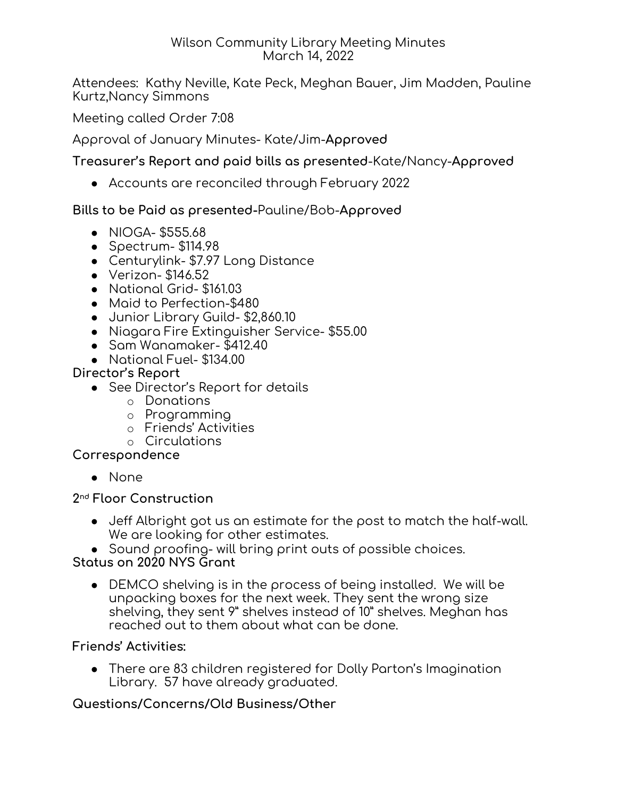#### Wilson Community Library Meeting Minutes March 14, 2022

Attendees: Kathy Neville, Kate Peck, Meghan Bauer, Jim Madden, Pauline Kurtz,Nancy Simmons

Meeting called Order 7:08

Approval of January Minutes- Kate/Jim-**Approved**

**Treasurer's Report and paid bills as presented**-Kate/Nancy-**Approved**

● Accounts are reconciled through February 2022

# **Bills to be Paid as presented-**Pauline/Bob-**Approved**

- NIOGA- \$555.68
- Spectrum- \$114.98
- Centurylink- \$7.97 Long Distance
- Verizon- \$146.52
- National Grid- \$161.03
- Maid to Perfection-\$480
- Junior Library Guild- \$2,860.10
- Niagara Fire Extinguisher Service- \$55.00
- Sam Wanamaker- \$412.40
- National Fuel- \$134.00

# **Director's Report**

- See Director's Report for details
	- o Donations
	- o Programming
	- o Friends' Activities
	- o Circulations

### **Correspondence**

● None

### **2 nd Floor Construction**

- Jeff Albright got us an estimate for the post to match the half-wall. We are looking for other estimates.
- Sound proofing- will bring print outs of possible choices.

### **Status on 2020 NYS Grant**

● DEMCO shelving is in the process of being installed. We will be unpacking boxes for the next week. They sent the wrong size shelving, they sent 9" shelves instead of 10" shelves. Meghan has reached out to them about what can be done.

### **Friends' Activities:**

● There are 83 children registered for Dolly Parton's Imagination Library. 57 have already graduated.

# **Questions/Concerns/Old Business/Other**